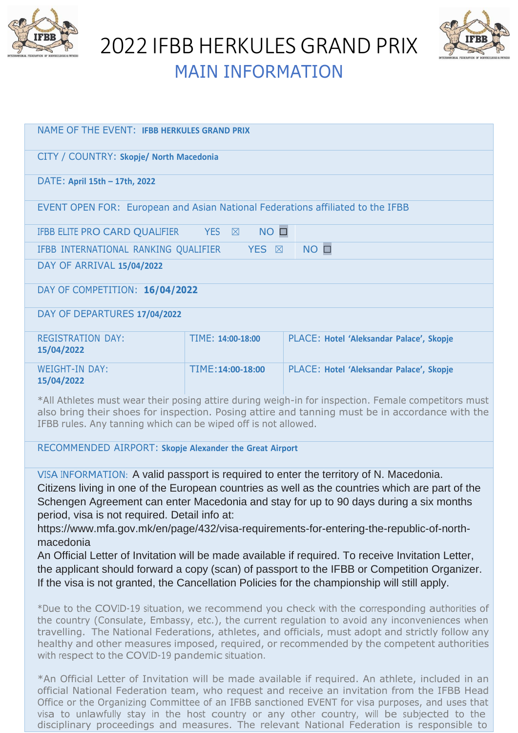

2022 IFBB HERKULES GRAND PRIX



| <b>MAIN INFORMATION</b> |  |
|-------------------------|--|
|                         |  |

| <b>NAME OF THE EVENT: IFBB HERKULES GRAND PRIX</b>                                                  |                   |                                          |  |  |
|-----------------------------------------------------------------------------------------------------|-------------------|------------------------------------------|--|--|
| CITY / COUNTRY: Skopje/ North Macedonia                                                             |                   |                                          |  |  |
| DATE: April 15th - 17th, 2022                                                                       |                   |                                          |  |  |
| EVENT OPEN FOR: European and Asian National Federations affiliated to the IFBB                      |                   |                                          |  |  |
| $YES \quad \boxtimes$<br>$NO$ $\square$<br>IFBB ELITE PRO CARD QUALIFIER                            |                   |                                          |  |  |
| $NO$ $\square$<br>IFBB INTERNATIONAL RANKING QUALIFIER<br>YES <b>X</b>                              |                   |                                          |  |  |
| DAY OF ARRIVAL 15/04/2022                                                                           |                   |                                          |  |  |
| DAY OF COMPETITION: 16/04/2022                                                                      |                   |                                          |  |  |
| DAY OF DEPARTURES 17/04/2022                                                                        |                   |                                          |  |  |
| <b>REGISTRATION DAY:</b><br>15/04/2022                                                              | TIME: 14:00-18:00 | PLACE: Hotel 'Aleksandar Palace', Skopje |  |  |
| <b>WEIGHT-IN DAY:</b><br>15/04/2022                                                                 | TIME: 14:00-18:00 | PLACE: Hotel 'Aleksandar Palace', Skopje |  |  |
| *All Athletes must wear their posing attire during weigh-in for inspection. Female competitors must |                   |                                          |  |  |

also bring their shoes for inspection. Posing attire and tanning must be in accordance with the IFBB rules. Any tanning which can be wiped off is not allowed.

RECOMMENDED AIRPORT: **Skopje Alexander the Great Airport**

VISA INFORMATION: A valid passport is required to enter the territory of N. Macedonia. Citizens living in one of the European countries as well as the countries which are part of the Schengen Agreement can enter Macedonia and stay for up to 90 days during a six months period, visa is not required. Detail info at:

https:[//www.mfa.gov.mk/en/page/432/visa-requirements-for-entering-the-republic-of-north](http://www.mfa.gov.mk/en/page/432/visa-requirements-for-entering-the-republic-of-north-)macedonia

An Official Letter of Invitation will be made available if required. To receive Invitation Letter, the applicant should forward a copy (scan) of passport to the IFBB or Competition Organizer. If the visa is not granted, the Cancellation Policies for the championship will still apply.

\*Due to the COVID-19 situation, we recommend you check with the corresponding authorities of the country (Consulate, Embassy, etc.), the current regulation to avoid any inconveniences when travelling. The National Federations, athletes, and officials, must adopt and strictly follow any healthy and other measures imposed, required, or recommended by the competent authorities with respect to the COVID-19 pandemic situation.

\*An Official Letter of Invitation will be made available if required. An athlete, included in an official National Federation team, who request and receive an invitation from the IFBB Head Office or the Organizing Committee of an IFBB sanctioned EVENT for visa purposes, and uses that visa to unlawfully stay in the host country or any other country, will be subjected to the disciplinary proceedings and measures. The relevant National Federation is responsible to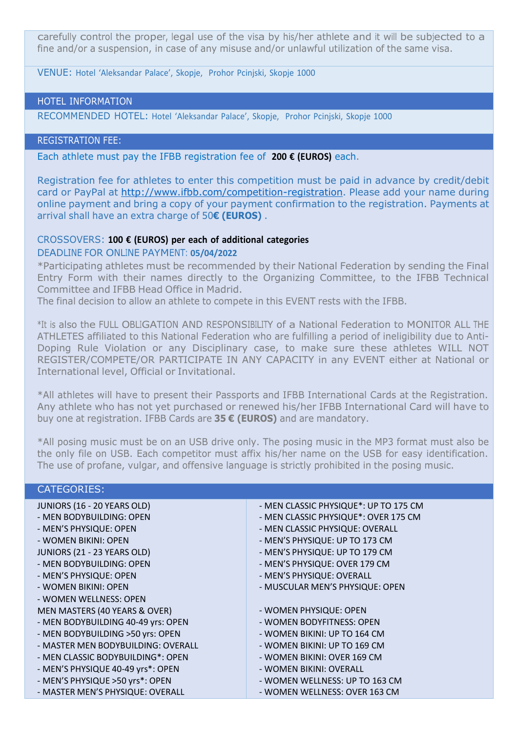carefully control the proper, legal use of the visa by his/her athlete and it will be subjected to a fine and/or a suspension, in case of any misuse and/or unlawful utilization of the same visa.

VENUE: Hotel 'Aleksandar Palace', Skopje, Prohor Pcinjski, Skopje 1000

## HOTEL INFORMATION

RECOMMENDED HOTEL: Hotel 'Aleksandar Palace', Skopje, Prohor Pcinjski, Skopje 1000

## REGISTRATION FEE:

Each athlete must pay the IFBB registration fee of **200 € (EUROS)** each.

Registration fee for athletes to enter this competition must be paid in advance by credit/debit card or PayPal at [http://www.ifbb.com/competition-registration.](http://www.ifbb.com/competition-registration) Please add your name during online payment and bring a copy of your payment confirmation to the registration. Payments at arrival shall have an extra charge of 50**€ (EUROS)** .

### CROSSOVERS: **100 € (EUROS) per each of additional categories**

#### DEADLINE FOR ONLINE PAYMENT: **05/04/2022**

\*Participating athletes must be recommended by their National Federation by sending the Final Entry Form with their names directly to the Organizing Committee, to the IFBB Technical Committee and IFBB Head Office in Madrid.

The final decision to allow an athlete to compete in this EVENT rests with the IFBB.

\*It is also the FULL OBLIGATION AND RESPONSIBILITY of a National Federation to MONITOR ALL THE ATHLETES affiliated to this National Federation who are fulfilling a period of ineligibility due to Anti-Doping Rule Violation or any Disciplinary case, to make sure these athletes WILL NOT REGISTER/COMPETE/OR PARTICIPATE IN ANY CAPACITY in any EVENT either at National or International level, Official or Invitational.

\*All athletes will have to present their Passports and IFBB International Cards at the Registration. Any athlete who has not yet purchased or renewed his/her IFBB International Card will have to buy one at registration. IFBB Cards are **35 € (EUROS)** and are mandatory.

\*All posing music must be on an USB drive only. The posing music in the MP3 format must also be the only file on USB. Each competitor must affix his/her name on the USB for easy identification. The use of profane, vulgar, and offensive language is strictly prohibited in the posing music.

| <b>CATEGORIES:</b>                 |                                       |
|------------------------------------|---------------------------------------|
| JUNIORS (16 - 20 YEARS OLD)        | - MEN CLASSIC PHYSIQUE*: UP TO 175 CM |
| - MEN BODYBUILDING: OPEN           | - MEN CLASSIC PHYSIQUE*: OVER 175 CM  |
| - MEN'S PHYSIQUE: OPEN             | - MEN CLASSIC PHYSIQUE: OVERALL       |
| - WOMEN BIKINI: OPEN               | - MEN'S PHYSIQUE: UP TO 173 CM        |
| JUNIORS (21 - 23 YEARS OLD)        | - MEN'S PHYSIQUE: UP TO 179 CM        |
| - MEN BODYBUILDING: OPEN           | - MEN'S PHYSIQUE: OVER 179 CM         |
| - MEN'S PHYSIQUE: OPEN             | - MEN'S PHYSIQUE: OVERALL             |
| - WOMEN BIKINI: OPEN               | - MUSCULAR MEN'S PHYSIQUE: OPEN       |
| - WOMEN WELLNESS: OPEN             |                                       |
| MEN MASTERS (40 YEARS & OVER)      | - WOMEN PHYSIQUE: OPEN                |
| - MEN BODYBUILDING 40-49 yrs: OPEN | - WOMEN BODYFITNESS: OPEN             |
| - MEN BODYBUILDING >50 yrs: OPEN   | - WOMEN BIKINI: UP TO 164 CM          |
| - MASTER MEN BODYBUILDING: OVERALL | - WOMEN BIKINI: UP TO 169 CM          |
| - MEN CLASSIC BODYBUILDING*: OPEN  | - WOMEN BIKINI: OVER 169 CM           |
| - MEN'S PHYSIQUE 40-49 yrs*: OPEN  | - WOMEN BIKINI: OVERALL               |
| - MEN'S PHYSIQUE >50 yrs*: OPEN    | - WOMEN WELLNESS: UP TO 163 CM        |
| - MASTER MEN'S PHYSIQUE: OVERALL   | - WOMEN WELLNESS: OVER 163 CM         |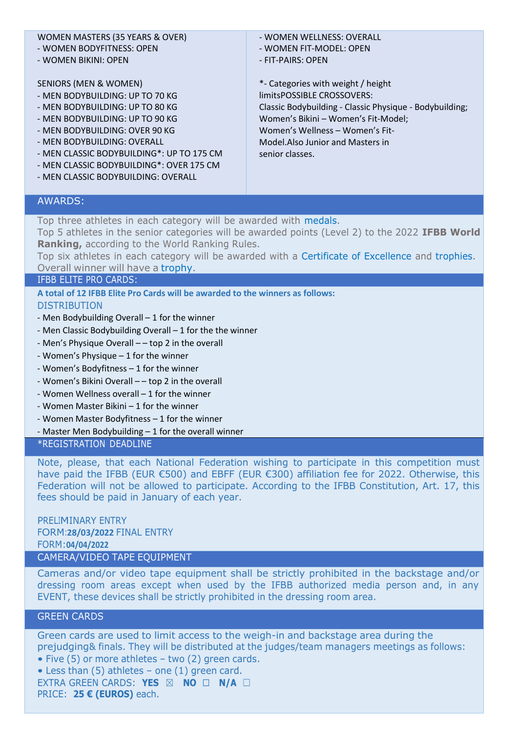# WOMEN MASTERS (35 YEARS & OVER)

- WOMEN BODYFITNESS: OPEN
- WOMEN BIKINI: OPEN

#### SENIORS (MEN & WOMEN)

- MEN BODYBUILDING: UP TO 70 KG
- MEN BODYBUILDING: UP TO 80 KG
- MEN BODYBUILDING: UP TO 90 KG
- MEN BODYBUILDING: OVER 90 KG
- MEN BODYBUILDING: OVERALL
- MEN CLASSIC BODYBUILDING\*: UP TO 175 CM
- MEN CLASSIC BODYBUILDING\*: OVER 175 CM
- MEN CLASSIC BODYBUILDING: OVERALL

- WOMEN WELLNESS: OVERALL - WOMEN FIT-MODEL: OPEN

- FIT-PAIRS: OPEN

\*- Categories with weight / height limitsPOSSIBLE CROSSOVERS: Classic Bodybuilding - Classic Physique - Bodybuilding; Women's Bikini – Women's Fit-Model; Women's Wellness – Women's Fit-Model.Also Junior and Masters in senior classes.

## AWARDS:

Top three athletes in each category will be awarded with medals.

Top 5 athletes in the senior categories will be awarded points (Level 2) to the 2022 **IFBB World Ranking,** according to the World Ranking Rules.

Top six athletes in each category will be awarded with a Certificate of Excellence and trophies. Overall winner will have a trophy.

#### IFBB ELITE PRO CARDS:

**A total of 12 IFBB Elite Pro Cards will be awarded to the winners as follows:** DISTRIBUTION

- Men Bodybuilding Overall 1 for the winner
- Men Classic Bodybuilding Overall 1 for the the winner
- Men's Physique Overall – top 2 in the overall
- Women's Physique 1 for the winner
- Women's Bodyfitness 1 for the winner
- Women's Bikini Overall – top 2 in the overall
- Women Wellness overall 1 for the winner
- Women Master Bikini 1 for the winner
- Women Master Bodyfitness 1 for the winner
- Master Men Bodybuilding 1 for the overall winner

### \*REGISTRATION DEADLINE

Note, please, that each National Federation wishing to participate in this competition must have paid the IFBB (EUR €500) and EBFF (EUR €300) affiliation fee for 2022. Otherwise, this Federation will not be allowed to participate. According to the IFBB Constitution, Art. 17, this fees should be paid in January of each year.

# PRELIMINARY ENTRY FORM:**28/03/2022** FINAL ENTRY FORM:**04/04/2022**

# CAMERA/VIDEO TAPE EQUIPMENT

Cameras and/or video tape equipment shall be strictly prohibited in the backstage and/or dressing room areas except when used by the IFBB authorized media person and, in any EVENT, these devices shall be strictly prohibited in the dressing room area.

## GREEN CARDS

Green cards are used to limit access to the weigh-in and backstage area during the prejudging& finals. They will be distributed at the judges/team managers meetings as follows:

• Five (5) or more athletes – two (2) green cards. • Less than (5) athletes – one (1) green card.

EXTRA GREEN CARDS: **YES** ☒ **NO** ☐ **N/A** ☐ PRICE: **25 € (EUROS)** each.